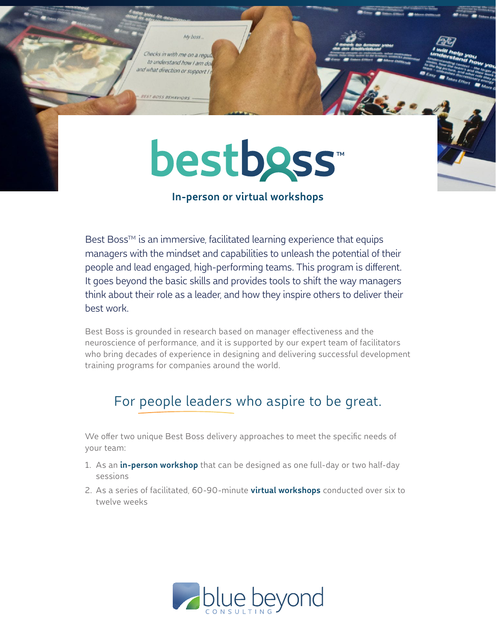Checks in with me on a regu to understand how I am do and what direction or support I

My boss.

ST BOSS BEHAVIOR

# **bestboss**

# **In-person or virtual workshops**

Best Boss™ is an immersive, facilitated learning experience that equips managers with the mindset and capabilities to unleash the potential of their people and lead engaged, high-performing teams. This program is different. It goes beyond the basic skills and provides tools to shift the way managers think about their role as a leader, and how they inspire others to deliver their best work.

Best Boss is grounded in research based on manager effectiveness and the neuroscience of performance, and it is supported by our expert team of facilitators who bring decades of experience in designing and delivering successful development training programs for companies around the world.

# For people leaders who aspire to be great.

We offer two unique Best Boss delivery approaches to meet the specific needs of your team:

- 1. As an **in-person workshop** that can be designed as one full-day or two half-day sessions
- 2. As a series of facilitated, 60-90-minute **virtual workshops** conducted over six to twelve weeks